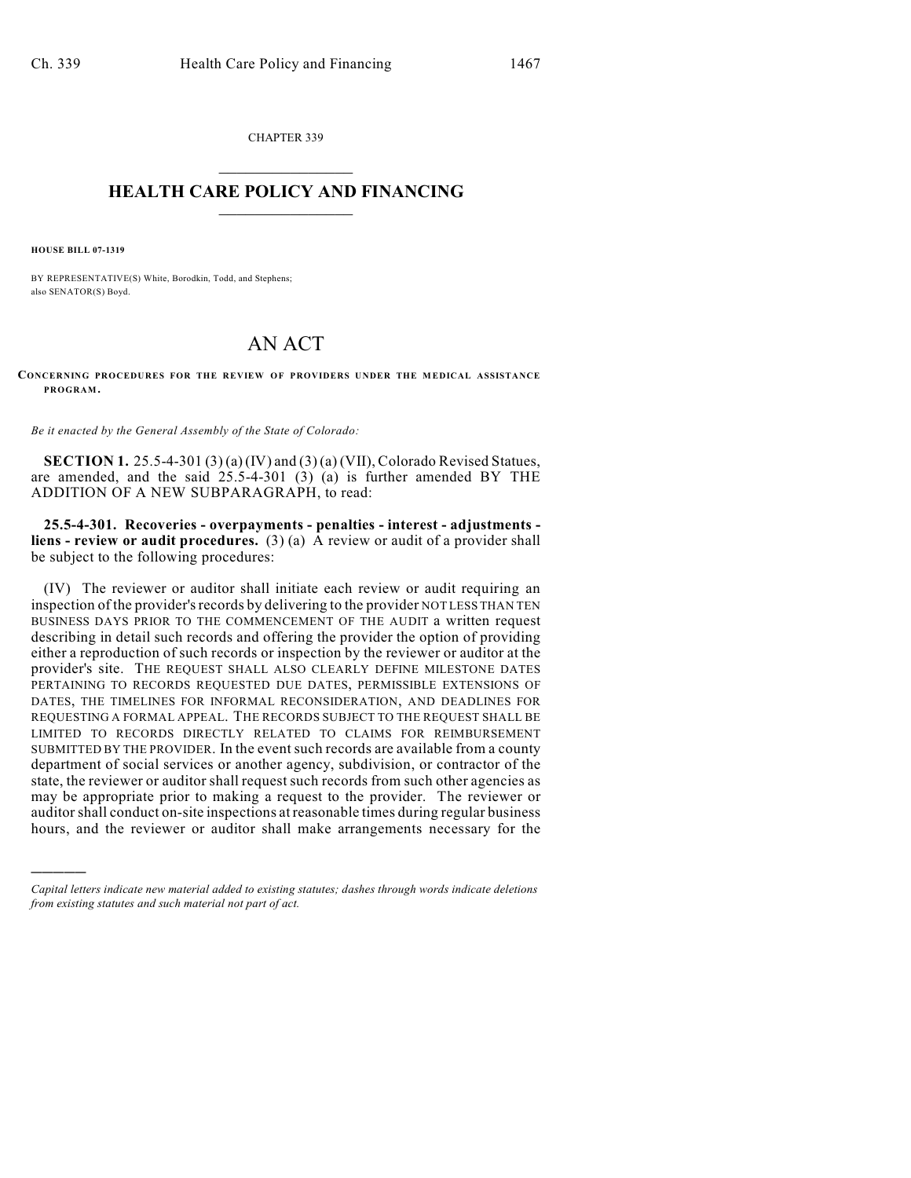CHAPTER 339  $\overline{\phantom{a}}$  . The set of the set of the set of the set of the set of the set of the set of the set of the set of the set of the set of the set of the set of the set of the set of the set of the set of the set of the set o

## **HEALTH CARE POLICY AND FINANCING**  $\_$   $\_$   $\_$   $\_$   $\_$   $\_$   $\_$   $\_$

**HOUSE BILL 07-1319**

)))))

BY REPRESENTATIVE(S) White, Borodkin, Todd, and Stephens; also SENATOR(S) Boyd.

## AN ACT

**CONCERNING PROCEDURES FOR THE REVIEW OF PROVIDERS UNDER THE MEDICAL ASSISTANCE PROGRAM.**

*Be it enacted by the General Assembly of the State of Colorado:*

**SECTION 1.** 25.5-4-301 (3) (a) (IV) and (3) (a) (VII), Colorado Revised Statues, are amended, and the said 25.5-4-301 (3) (a) is further amended BY THE ADDITION OF A NEW SUBPARAGRAPH, to read:

**25.5-4-301. Recoveries - overpayments - penalties - interest - adjustments liens - review or audit procedures.** (3) (a) A review or audit of a provider shall be subject to the following procedures:

(IV) The reviewer or auditor shall initiate each review or audit requiring an inspection of the provider's records by delivering to the provider NOT LESS THAN TEN BUSINESS DAYS PRIOR TO THE COMMENCEMENT OF THE AUDIT a written request describing in detail such records and offering the provider the option of providing either a reproduction of such records or inspection by the reviewer or auditor at the provider's site. THE REQUEST SHALL ALSO CLEARLY DEFINE MILESTONE DATES PERTAINING TO RECORDS REQUESTED DUE DATES, PERMISSIBLE EXTENSIONS OF DATES, THE TIMELINES FOR INFORMAL RECONSIDERATION, AND DEADLINES FOR REQUESTING A FORMAL APPEAL. THE RECORDS SUBJECT TO THE REQUEST SHALL BE LIMITED TO RECORDS DIRECTLY RELATED TO CLAIMS FOR REIMBURSEMENT SUBMITTED BY THE PROVIDER. In the event such records are available from a county department of social services or another agency, subdivision, or contractor of the state, the reviewer or auditor shall request such records from such other agencies as may be appropriate prior to making a request to the provider. The reviewer or auditor shall conduct on-site inspections at reasonable times during regular business hours, and the reviewer or auditor shall make arrangements necessary for the

*Capital letters indicate new material added to existing statutes; dashes through words indicate deletions from existing statutes and such material not part of act.*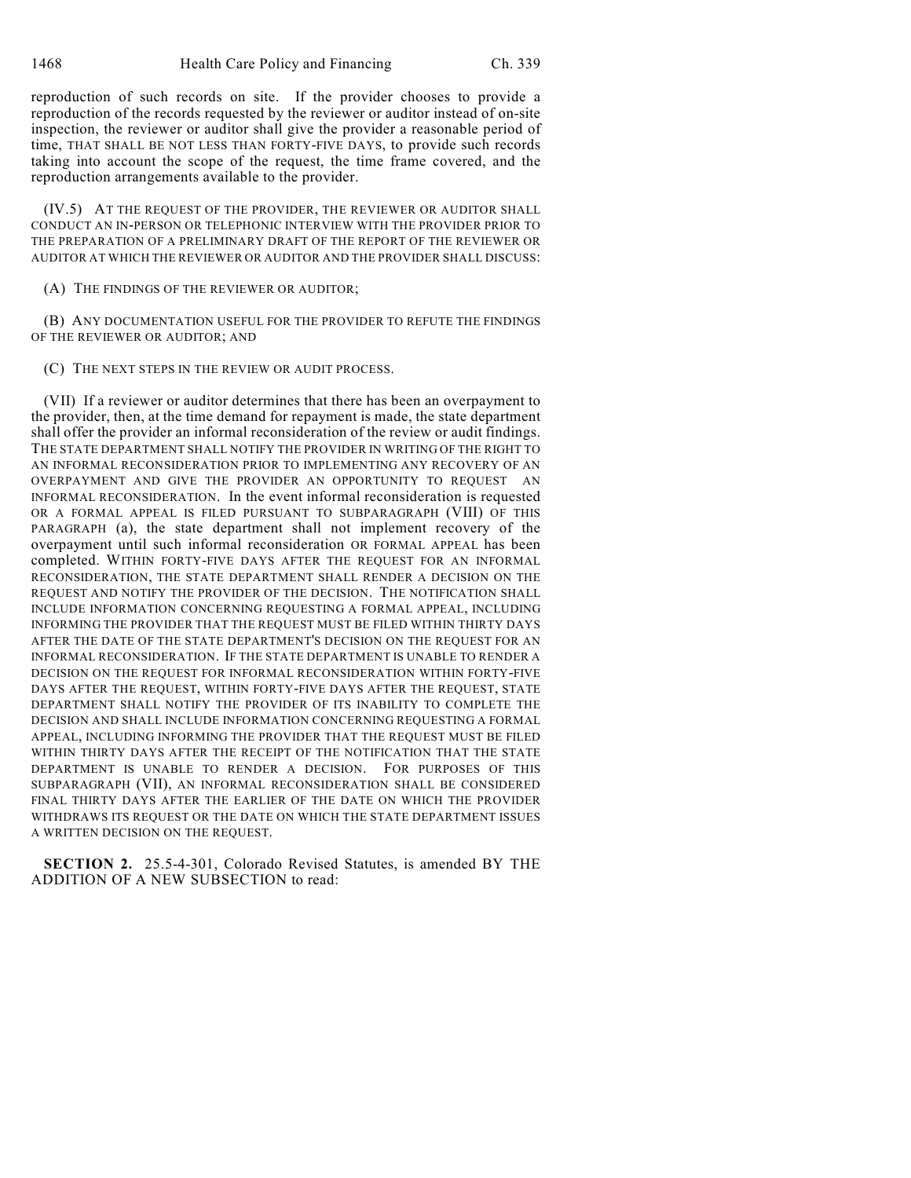reproduction of such records on site. If the provider chooses to provide a reproduction of the records requested by the reviewer or auditor instead of on-site inspection, the reviewer or auditor shall give the provider a reasonable period of time, THAT SHALL BE NOT LESS THAN FORTY-FIVE DAYS, to provide such records taking into account the scope of the request, the time frame covered, and the reproduction arrangements available to the provider.

(IV.5) AT THE REQUEST OF THE PROVIDER, THE REVIEWER OR AUDITOR SHALL CONDUCT AN IN-PERSON OR TELEPHONIC INTERVIEW WITH THE PROVIDER PRIOR TO THE PREPARATION OF A PRELIMINARY DRAFT OF THE REPORT OF THE REVIEWER OR AUDITOR AT WHICH THE REVIEWER OR AUDITOR AND THE PROVIDER SHALL DISCUSS:

(A) THE FINDINGS OF THE REVIEWER OR AUDITOR;

(B) ANY DOCUMENTATION USEFUL FOR THE PROVIDER TO REFUTE THE FINDINGS OF THE REVIEWER OR AUDITOR; AND

(C) THE NEXT STEPS IN THE REVIEW OR AUDIT PROCESS.

(VII) If a reviewer or auditor determines that there has been an overpayment to the provider, then, at the time demand for repayment is made, the state department shall offer the provider an informal reconsideration of the review or audit findings. THE STATE DEPARTMENT SHALL NOTIFY THE PROVIDER IN WRITING OF THE RIGHT TO AN INFORMAL RECONSIDERATION PRIOR TO IMPLEMENTING ANY RECOVERY OF AN OVERPAYMENT AND GIVE THE PROVIDER AN OPPORTUNITY TO REQUEST AN INFORMAL RECONSIDERATION. In the event informal reconsideration is requested OR A FORMAL APPEAL IS FILED PURSUANT TO SUBPARAGRAPH (VIII) OF THIS PARAGRAPH (a), the state department shall not implement recovery of the overpayment until such informal reconsideration OR FORMAL APPEAL has been completed. WITHIN FORTY-FIVE DAYS AFTER THE REQUEST FOR AN INFORMAL RECONSIDERATION, THE STATE DEPARTMENT SHALL RENDER A DECISION ON THE REQUEST AND NOTIFY THE PROVIDER OF THE DECISION. THE NOTIFICATION SHALL INCLUDE INFORMATION CONCERNING REQUESTING A FORMAL APPEAL, INCLUDING INFORMING THE PROVIDER THAT THE REQUEST MUST BE FILED WITHIN THIRTY DAYS AFTER THE DATE OF THE STATE DEPARTMENT'S DECISION ON THE REQUEST FOR AN INFORMAL RECONSIDERATION. IF THE STATE DEPARTMENT IS UNABLE TO RENDER A DECISION ON THE REQUEST FOR INFORMAL RECONSIDERATION WITHIN FORTY-FIVE DAYS AFTER THE REQUEST, WITHIN FORTY-FIVE DAYS AFTER THE REQUEST, STATE DEPARTMENT SHALL NOTIFY THE PROVIDER OF ITS INABILITY TO COMPLETE THE DECISION AND SHALL INCLUDE INFORMATION CONCERNING REQUESTING A FORMAL APPEAL, INCLUDING INFORMING THE PROVIDER THAT THE REQUEST MUST BE FILED WITHIN THIRTY DAYS AFTER THE RECEIPT OF THE NOTIFICATION THAT THE STATE DEPARTMENT IS UNABLE TO RENDER A DECISION. FOR PURPOSES OF THIS SUBPARAGRAPH (VII), AN INFORMAL RECONSIDERATION SHALL BE CONSIDERED FINAL THIRTY DAYS AFTER THE EARLIER OF THE DATE ON WHICH THE PROVIDER WITHDRAWS ITS REQUEST OR THE DATE ON WHICH THE STATE DEPARTMENT ISSUES A WRITTEN DECISION ON THE REQUEST.

**SECTION 2.** 25.5-4-301, Colorado Revised Statutes, is amended BY THE ADDITION OF A NEW SUBSECTION to read: